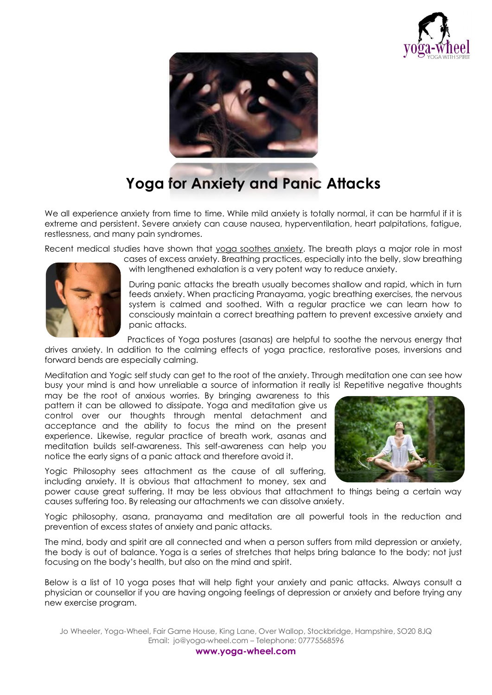



## **Yoga for Anxiety and Panic Attacks**

We all experience anxiety from time to time. While mild anxiety is totally normal, it can be harmful if it is extreme and persistent. Severe anxiety can cause nausea, hyperventilation, heart palpitations, fatigue, restlessness, and many pain syndromes.

Recent medical studies have shown that yoga soothes anxiety. The breath plays a major role in most



cases of excess anxiety. Breathing practices, especially into the belly, slow breathing with lengthened exhalation is a very potent way to reduce anxiety.

During panic attacks the breath usually becomes shallow and rapid, which in turn feeds anxiety. When practicing Pranayama, yogic breathing exercises, the nervous system is calmed and soothed. With a regular practice we can learn how to consciously maintain a correct breathing pattern to prevent excessive anxiety and panic attacks.

Practices of Yoga postures (asanas) are helpful to soothe the nervous energy that

drives anxiety. In addition to the calming effects of yoga practice, restorative poses, inversions and forward bends are especially calming.

Meditation and Yogic self study can get to the root of the anxiety. Through meditation one can see how busy your mind is and how unreliable a source of information it really is! Repetitive negative thoughts

may be the root of anxious worries. By bringing awareness to this pattern it can be allowed to dissipate. Yoga and meditation give us control over our thoughts through mental detachment and acceptance and the ability to focus the mind on the present experience. Likewise, regular practice of breath work, asanas and meditation builds self-awareness. This self-awareness can help you notice the early signs of a panic attack and therefore avoid it.

Yogic Philosophy sees attachment as the cause of all suffering, including anxiety. It is obvious that attachment to money, sex and

power cause great suffering. It may be less obvious that attachment to things being a certain way causes suffering too. By releasing our attachments we can dissolve anxiety.

Yogic philosophy, asana, pranayama and meditation are all powerful tools in the reduction and prevention of excess states of anxiety and panic attacks.

The mind, body and spirit are all connected and when a person suffers from mild depression or anxiety, the body is out of balance. [Yoga](http://en.wikipedia.org/wiki/Yoga) is a series of stretches that helps bring balance to the body; not just focusing on the body's health, but also on the mind and spirit.

Below is a list of 10 yoga poses that will help fight your anxiety and panic attacks. Always consult a physician or counsellor if you are having ongoing feelings of depression or anxiety and before trying any new exercise program.

Jo Wheeler, Yoga-Wheel, Fair Game House, King Lane, Over Wallop, Stockbridge, Hampshire, SO20 8JQ Email: jo@yoga-wheel.com – Telephone: 07775568596



**www.yoga-wheel.com**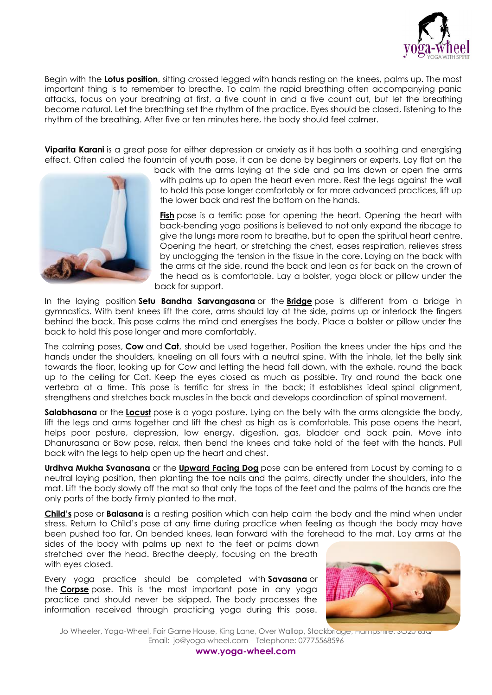

Begin with the **Lotus [position](http://en.wikipedia.org/wiki/Lotus_position)**, sitting crossed legged with hands resting on the knees, palms up. The most important thing is to remember to breathe. To calm the rapid breathing often accompanying panic attacks, focus on your breathing at first, a five count in and a five count out, but let the breathing become natural. Let the breathing set the rhythm of the practice. Eyes should be closed, listening to the rhythm of the breathing. After five or ten minutes here, the body should feel calmer.

**[Viparita](http://en.wikipedia.org/wiki/Viparita_Karani) Karani** is a great pose for either depression or anxiety as it has both a soothing and energising effect. Often called the fountain of youth pose, it can be done by beginners or experts. Lay flat on the



back with the arms laying at the side and pa lms down or open the arms with palms up to open the heart even more. Rest the legs against the wall to hold this pose longer comfortably or for more advanced practices, lift up the lower back and rest the bottom on the hands.

**[Fish](http://www.yogajournal.com/poses/786)** pose is a terrific pose for opening the heart. Opening the heart with back-bending yoga positions is believed to not only expand the ribcage to give the lungs more room to breathe, but to open the spiritual heart centre. Opening the heart, or stretching the chest, eases respiration, relieves stress by unclogging the tension in the tissue in the core. Laying on the back with the arms at the side, round the back and lean as far back on the crown of the head as is comfortable. Lay a bolster, yoga block or pillow under the back for support.

In the laying position **Setu Bandha Sarvangasana** or the **[Bridge](http://www.yogajournal.com/poses/472)** pose is different from a bridge in gymnastics. With bent knees lift the core, arms should lay at the side, palms up or interlock the fingers behind the back. This pose calms the mind and energises the body. Place a bolster or pillow under the back to hold this pose longer and more comfortably.

The calming poses, **[Cow](http://www.yogajournal.com/poses/2467)** and **Cat**, should be used together. Position the knees under the hips and the hands under the shoulders, kneeling on all fours with a neutral spine. With the inhale, let the belly sink towards the floor, looking up for Cow and letting the head fall down, with the exhale, round the back up to the ceiling for Cat. Keep the eyes closed as much as possible. Try and round the back one vertebra at a time. This pose is terrific for stress in the back; it establishes ideal spinal alignment, strengthens and stretches back muscles in the back and develops coordination of spinal movement.

**Salabhasana** or the **[Locust](http://www.yogajournal.com/poses/789)** pose is a yoga posture. Lying on the belly with the arms alongside the body, lift the legs and arms together and lift the chest as high as is comfortable. This pose opens the heart, helps poor posture, depression, low energy, digestion, gas, bladder and back pain. Move into Dhanurasana or Bow pose, relax, then bend the knees and take hold of the feet with the hands. Pull back with the legs to help open up the heart and chest.

**Urdhva Mukha Svanasana** or the **[Upward](http://www.yogajournal.com/poses/474) Facing Dog** pose can be entered from Locust by coming to a neutral laying position, then planting the toe nails and the palms, directly under the shoulders, into the mat. Lift the body slowly off the mat so that only the tops of the feet and the palms of the hands are the only parts of the body firmly planted to the mat.

**[Child's](http://www.yogajournal.com/poses/475)** pose or **Balasana** is a resting position which can help calm the body and the mind when under stress. Return to Child's pose at any time during practice when feeling as though the body may have been pushed too far. On bended knees, lean forward with the forehead to the mat. Lay arms at the

sides of the body with palms up next to the feet or palms down stretched over the head. Breathe deeply, focusing on the breath with eyes closed.

Every yoga practice should be completed with **Savasana** or the **[Corpse](http://www.yogajournal.com/poses/482)** pose. This is the most important pose in any yoga practice and should never be skipped. The body processes the information received through practicing yoga during this pose.



Jo Wheeler, Yoga-Wheel, Fair Game House, King Lane, Over Wallop, Stockbridge, Hampshire, SO20 8JQ Email: jo@yoga-wheel.com – Telephone: 07775568596

**www.yoga-wheel.com**